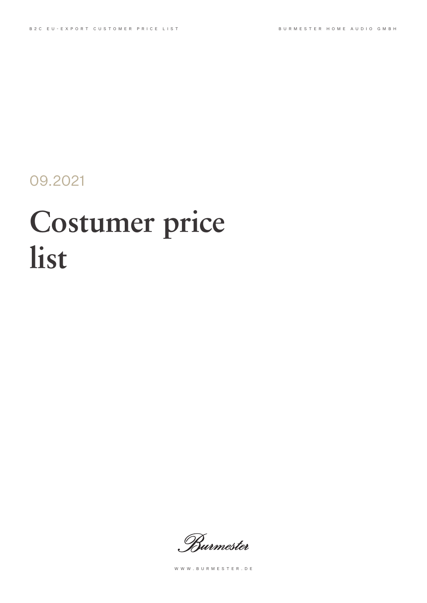09.2021

# **Costumer price list**

. Burmester

WWW.BURMESTER.DE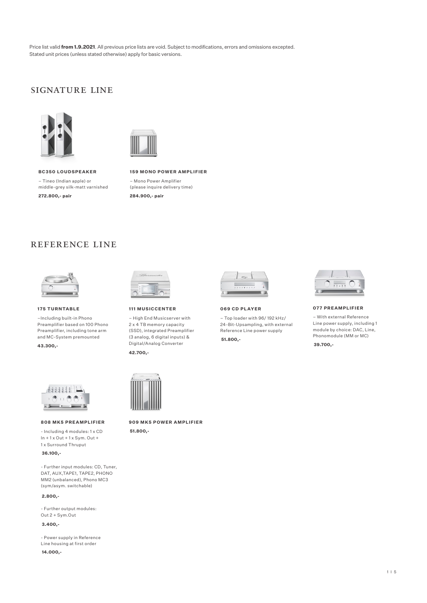Price list valid **from 1.9.2021**. All previous price lists are void. Subject to modifications, errors and omissions excepted. Stated unit prices (unless stated otherwise) apply for basic versions.

## Signature Line





**BC350 loudspe aker** – Tineo (Indian apple) or middle-grey silk-matt varnished **272.800,- pair**

**159 Mono Power amplifier** – Mono Power Amplifier (please inquire delivery time) **284.900,- pair**

### reference Line



**175 turntable**

–Including built-in Phono Preamplifier based on 100 Phono Preamplifier, including tone arm and MC-System premounted **43.300,-**



**808 MK5 Pre amp lifier**

- Including 4 modules: 1 x CD  $In + 1 \times Out + 1 \times Sym$ . Out + 1 x Surround Thruput

 **36.100,-**

- Further input modules: CD, Tuner, DAT, AUX,TAPE1, TAPE2, PHONO MM2 (unbalanced), Phono MC3 (sym/asym. switchable)

 **2.800,-**

- Further output modules: Out 2 + Sym.Out

 **3.400,-**

- Power supply in Reference Line housing at first order  **14.000,-** 



**111 Musicce nter**

– High End Musicserver with 2 x 4 TB memory capacity (SSD), integrated Preamplifier (3 analog, 6 digital inputs) & Digital/Analog Converter

**42.700,-** 



## **909 MK5 Power Amplifier**

 **51.800,-**



**069 CD Player**

– Top loader with 96/ 192 kHz/ 24-Bit-Upsampling, with external Reference Line power supply  **51.800,-**



**077 Preamp lifier**

– With external Reference Line power supply, including 1 module by choice: DAC, Line, Phonomodule (MM or MC)  **39.700,-**

1I5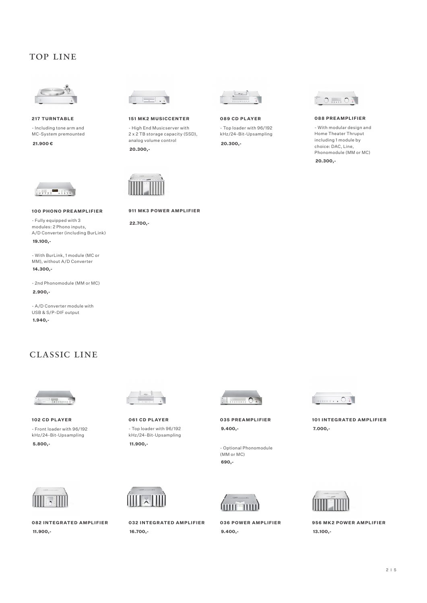## Top Line



**217 turntable** - Including tone arm and MC-System premounted

 **21.900 €** 



**151 MK2 MUSICCENTER** 

- High End Musicserver with 2 x 2 TB storage capacity (SSD), analog volume control

**911 MK3 Power Amplifier**

 **20.300,-**

 **22.700,-**



**089 CD Player**

- Top loader with 96/192 kHz/24-Bit-Upsampling  **20.300,-**



#### **088 Preamp lifier**

- With modular design and Home Theater Thruput including 1 module by choice: DAC, Line, Phonomodule (MM or MC)

 **20.300,-**



**100 Phono Pre amplifier**

- Fully equipped with 3 modules: 2 Phono inputs, A/D Converter (including BurLink)  **19.100,-**

- With BurLink, 1 module (MC or MM), without A/D Converter  **14.300,-**

- 2nd Phonomodule (MM or MC)

 **2.900,-**

- A/D Converter module with USB & S/P-DIF output  **1.940,-**

# CLASSIC LINE



**102 CD Player** - Front loader with 96/192 kHz/24-Bit-Upsampling  **5.800,- 11.900,-**



**082 Integrated Amplifier 032 Integrated Amplifier 036 Power Amplifier 956 MK2 Power Amplifier**



**061 CD Player** - Top loader with 96/192 kHz/24-Bit-Upsampling



 **11.900,- 16.700,- 9.400,- 13.100,-**



**035 Preamp lifier 9.400,-**

- Optional Phonomodule (MM or MC)  **690,-**





**101 Integrated Amplifier 7.000,-**

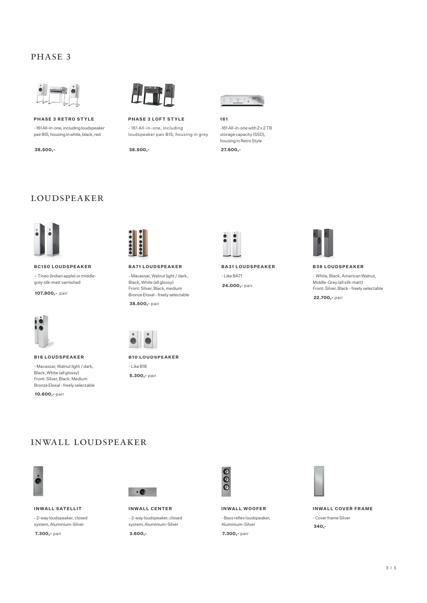## PHASE 3



**Phase 3 Retro Style** - 161 All-in-one, including loudspeaker pair B15, housing in white, black, red



**Phase 3 Loft Style** - 161 All-in-one, including

loudspeaker pair B15, housing in grey

 **38.500,- 27.600,- 38.500,-**



#### **161**

-161 All-in-one with 2 x 2 TB storage capacity (SSD), housing in Retro Style





#### **bc150 loudspe aker** – Tineo (Indian apple) or middle-

grey silk-matt varnished

 **107.800,-** pair



#### **B18 lou dspe aker**

- Macassar, Walnut light / dark, Black, White (all glossy) Front: Silver, Black, Medium Bronze Eloxal - freely selectable



#### **BA71 loudspe aker** - Macassar, Walnut light / dark, Black, White (all glossy) Front: Silver, Black, medium Bronze Eloxal - freely selectable

 **38.500,-** pair



**B10 loudspe aker**

- Like B18  **5.300,-** pair



**BA31 loudspe aker** - Like BA71  **24.000,-** pair



**B38 LOUDSPEAKER** 

- White, Black, American Walnut, Middle-Grey (all silk-matt) Front: Silver, Black - freely selectable  **22.700,-** pair

 **10.600,-** pair

## inwall loudspeaker



#### **INWALL SATELLIT**

- 2-way loudspeaker, closed system, Aluminium-Silver

 **7.300,-** pair **3.600,- 7.300,-** pair



**InWall Center** - 2-way loudspeaker, closed system, Aluminium-Silver



**InWall Woofer** - Bass reflex loudspeaker, Aluminium-Silver



**InWa ll Cover Frame** - Cover frame Silver  **340,-**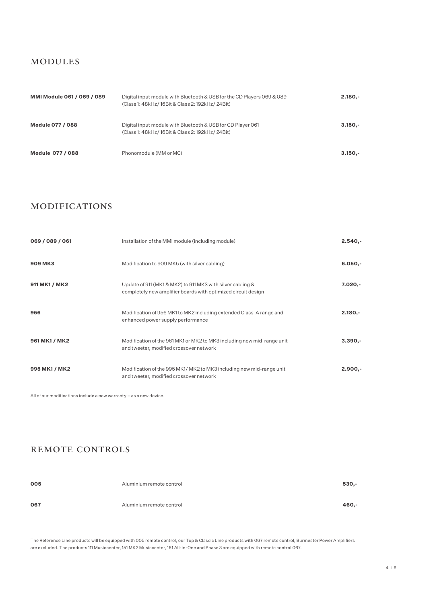## modules

| <b>MMI Module 061 / 069 / 089</b> | Digital input module with Bluetooth & USB for the CD Players 069 & 089<br>(Class 1: 48kHz/16Bit & Class 2: 192kHz/24Bit) | $2.180 -$ |
|-----------------------------------|--------------------------------------------------------------------------------------------------------------------------|-----------|
| <b>Module 077 / 088</b>           | Digital input module with Bluetooth & USB for CD Player 061<br>(Class 1: 48kHz/16Bit & Class 2: 192kHz/24Bit)            | $3.150 -$ |
| <b>Module 077 / 088</b>           | Phonomodule (MM or MC)                                                                                                   | $3.150 -$ |

## modifications

| 069 / 089 / 061 | Installation of the MMI module (including module)                                                                           | $2.540 -$ |
|-----------------|-----------------------------------------------------------------------------------------------------------------------------|-----------|
| <b>909 MK3</b>  | Modification to 909 MK5 (with silver cabling)                                                                               | $6.050 -$ |
| 911 MK1 / MK2   | Update of 911 (MK1 & MK2) to 911 MK3 with silver cabling &<br>completely new amplifier boards with optimized circuit design | $7.020 -$ |
| 956             | Modification of 956 MK1 to MK2 including extended Class-A range and<br>enhanced power supply performance                    | $2.180 -$ |
| 961 MK1 / MK2   | Modification of the 961 MK1 or MK2 to MK3 including new mid-range unit<br>and tweeter, modified crossover network           | $3.390 -$ |
| 995 MK1 / MK2   | Modification of the 995 MK1/MK2 to MK3 including new mid-range unit<br>and tweeter, modified crossover network              | $2.900 -$ |

All of our modifications include a new warranty – as a new device.

## remote controls

| 005 | Aluminium remote control | 530,-   |
|-----|--------------------------|---------|
| 067 | Aluminium remote control | $460,-$ |

The Reference Line products will be equipped with 005 remote control, our Top & Classic Line products with 067 remote control, Burmester Power Amplifiers are excluded. The products 111 Musiccenter, 151 MK2 Musiccenter, 161 All-in-One and Phase 3 are equipped with remote control 067.